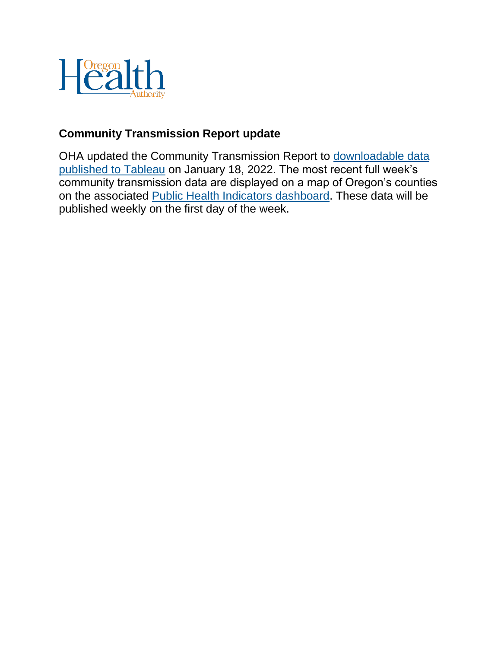

### **Community Transmission Report update**

OHA updated the Community Transmission Report to [downloadable data](https://public.tableau.com/app/profile/oregon.health.authority.covid.19/viz/OregonCOVID-19PublicHealthIndicators-SummaryTable/DiseaseSpread-SummaryTable)  [published to Tableau](https://public.tableau.com/app/profile/oregon.health.authority.covid.19/viz/OregonCOVID-19PublicHealthIndicators-SummaryTable/DiseaseSpread-SummaryTable) on January 18, 2022. The most recent full week's community transmission data are displayed on a map of Oregon's counties on the associated [Public Health Indicators dashboard.](https://public.tableau.com/app/profile/oregon.health.authority.covid.19/viz/OregonCOVID-19PublicHealthIndicators/Risk) These data will be published weekly on the first day of the week.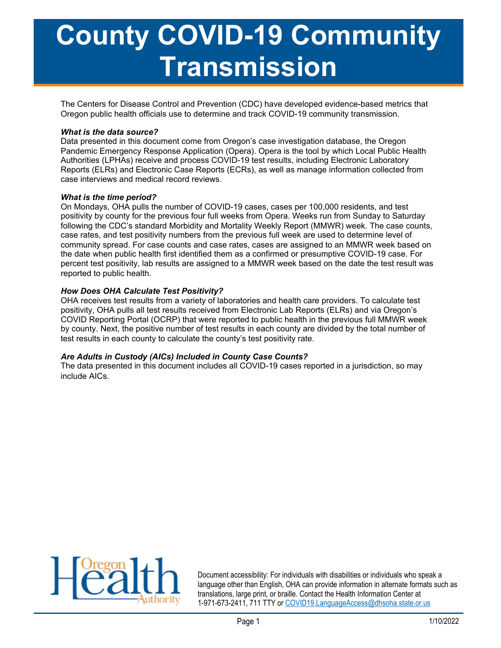# County COVID-19 Community Transmission

The Centers for Disease Control and Prevention (CDC) have developed evidence-based metrics that Oregon public health officials use to determine and track COVID-19 community transmission.

#### What is the data source?

Data presented in this document come from Oregon's case investigation database, the Oregon Pandemic Emergency Response Application (Opera). Opera is the tool by which Local Public Health Authorities (LPHAs) receive and process COVID-19 test results, including Electronic Laboratory Reports (ELRs) and Electronic Case Reports (ECRs), as well as manage information collected from case interviews and medical record reviews.

#### What is the time period?

On Mondays, OHA pulls the number of COVID-19 cases, cases per 100,000 residents, and test positivity by county for the previous four full weeks from Opera. Weeks run from Sunday to Saturday following the CDC's standard Morbidity and Mortality Weekly Report (MMWR) week. The case counts, case rates, and test positivity numbers from the previous full week are used to determine level of community spread. For case counts and case rates, cases are assigned to an MMWR week based on the date when public health first identified them as a confirmed or presumptive COVID-19 case. For percent test positivity, lab results are assigned to a MMWR week based on the date the test result was reported to public health.

#### How Does OHA Calculate Test Positivity?

OHA receives test results from a variety of laboratories and health care providers. To calculate test positivity, OHA pulls all test results received from Electronic Lab Reports (ELRs) and via Oregon's COVID Reporting Portal (OCRP) that were reported to public health in the previous full MMWR week by county. Next, the positive number of test results in each county are divided by the total number of test results in each county to calculate the county's test positivity rate.

#### Are Adults in Custody (AICs) Included in County Case Counts?

The data presented in this document includes all COVID-19 cases reported in a jurisdiction, so may include AICs.



Document accessibility: For individuals with disabilities or individuals who speak a language other than English, OHA can provide information in alternate formats such as translations, large print, or braille. Contact the Health Information Center at 1-971-673-2411, 711 TTY or COVID19.LanguageAccess@dhsoha.state.or.us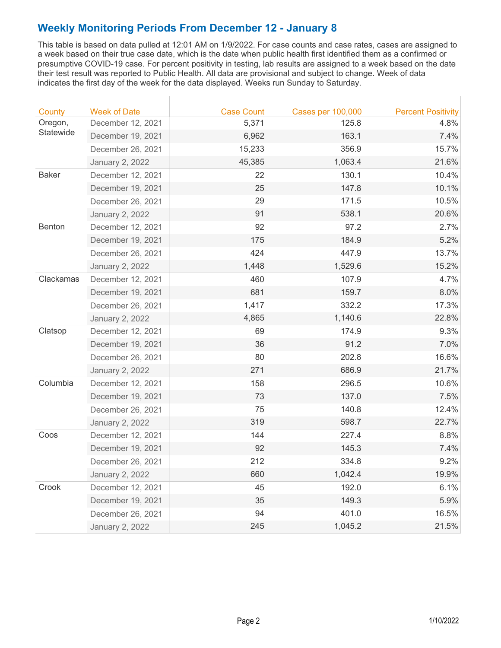This table is based on data pulled at 12:01 AM on 1/9/2022. For case counts and case rates, cases are assigned to a week based on their true case date, which is the date when public health first identified them as a confirmed or presumptive COVID-19 case. For percent positivity in testing, lab results are assigned to a week based on the date their test result was reported to Public Health. All data are provisional and subject to change. Week of data indicates the first day of the week for the data displayed. Weeks run Sunday to Saturday.

| County       | <b>Week of Date</b>    | <b>Case Count</b> | <b>Cases per 100,000</b> | <b>Percent Positivity</b> |
|--------------|------------------------|-------------------|--------------------------|---------------------------|
| Oregon,      | December 12, 2021      | 5,371             | 125.8                    | 4.8%                      |
| Statewide    | December 19, 2021      | 6,962             | 163.1                    | 7.4%                      |
|              | December 26, 2021      | 15,233            | 356.9                    | 15.7%                     |
|              | <b>January 2, 2022</b> | 45,385            | 1,063.4                  | 21.6%                     |
| <b>Baker</b> | December 12, 2021      | 22                | 130.1                    | 10.4%                     |
|              | December 19, 2021      | 25                | 147.8                    | 10.1%                     |
|              | December 26, 2021      | 29                | 171.5                    | 10.5%                     |
|              | <b>January 2, 2022</b> | 91                | 538.1                    | 20.6%                     |
| Benton       | December 12, 2021      | 92                | 97.2                     | 2.7%                      |
|              | December 19, 2021      | 175               | 184.9                    | 5.2%                      |
|              | December 26, 2021      | 424               | 447.9                    | 13.7%                     |
|              | January 2, 2022        | 1,448             | 1,529.6                  | 15.2%                     |
| Clackamas    | December 12, 2021      | 460               | 107.9                    | 4.7%                      |
|              | December 19, 2021      | 681               | 159.7                    | 8.0%                      |
|              | December 26, 2021      | 1,417             | 332.2                    | 17.3%                     |
|              | January 2, 2022        | 4,865             | 1,140.6                  | 22.8%                     |
| Clatsop      | December 12, 2021      | 69                | 174.9                    | 9.3%                      |
|              | December 19, 2021      | 36                | 91.2                     | 7.0%                      |
|              | December 26, 2021      | 80                | 202.8                    | 16.6%                     |
|              | January 2, 2022        | 271               | 686.9                    | 21.7%                     |
| Columbia     | December 12, 2021      | 158               | 296.5                    | 10.6%                     |
|              | December 19, 2021      | 73                | 137.0                    | 7.5%                      |
|              | December 26, 2021      | 75                | 140.8                    | 12.4%                     |
|              | January 2, 2022        | 319               | 598.7                    | 22.7%                     |
| Coos         | December 12, 2021      | 144               | 227.4                    | 8.8%                      |
|              | December 19, 2021      | 92                | 145.3                    | 7.4%                      |
|              | December 26, 2021      | 212               | 334.8                    | 9.2%                      |
|              | <b>January 2, 2022</b> | 660               | 1,042.4                  | 19.9%                     |
| Crook        | December 12, 2021      | 45                | 192.0                    | 6.1%                      |
|              | December 19, 2021      | 35                | 149.3                    | 5.9%                      |
|              | December 26, 2021      | 94                | 401.0                    | 16.5%                     |
|              | <b>January 2, 2022</b> | 245               | 1,045.2                  | 21.5%                     |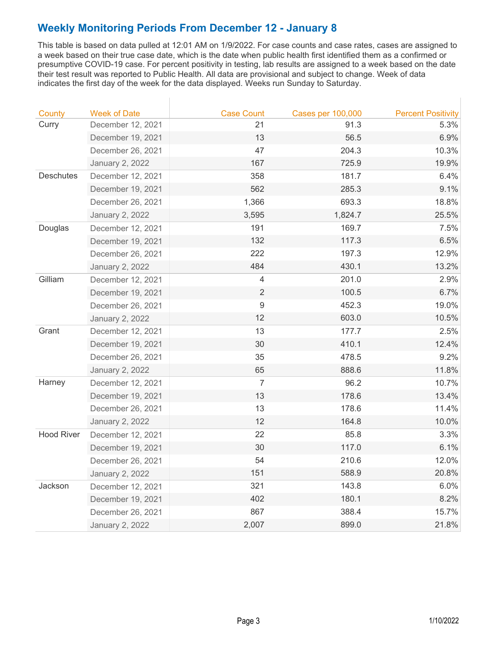This table is based on data pulled at 12:01 AM on 1/9/2022. For case counts and case rates, cases are assigned to a week based on their true case date, which is the date when public health first identified them as a confirmed or presumptive COVID-19 case. For percent positivity in testing, lab results are assigned to a week based on the date their test result was reported to Public Health. All data are provisional and subject to change. Week of data indicates the first day of the week for the data displayed. Weeks run Sunday to Saturday.

| County            | <b>Week of Date</b>    | <b>Case Count</b> | <b>Cases per 100,000</b> | <b>Percent Positivity</b> |
|-------------------|------------------------|-------------------|--------------------------|---------------------------|
| Curry             | December 12, 2021      | 21                | 91.3                     | 5.3%                      |
|                   | December 19, 2021      | 13                | 56.5                     | 6.9%                      |
|                   | December 26, 2021      | 47                | 204.3                    | 10.3%                     |
|                   | <b>January 2, 2022</b> | 167               | 725.9                    | 19.9%                     |
| <b>Deschutes</b>  | December 12, 2021      | 358               | 181.7                    | 6.4%                      |
|                   | December 19, 2021      | 562               | 285.3                    | 9.1%                      |
|                   | December 26, 2021      | 1,366             | 693.3                    | 18.8%                     |
|                   | <b>January 2, 2022</b> | 3,595             | 1,824.7                  | 25.5%                     |
| Douglas           | December 12, 2021      | 191               | 169.7                    | 7.5%                      |
|                   | December 19, 2021      | 132               | 117.3                    | 6.5%                      |
|                   | December 26, 2021      | 222               | 197.3                    | 12.9%                     |
|                   | <b>January 2, 2022</b> | 484               | 430.1                    | 13.2%                     |
| Gilliam           | December 12, 2021      | $\overline{4}$    | 201.0                    | 2.9%                      |
|                   | December 19, 2021      | $\overline{2}$    | 100.5                    | 6.7%                      |
|                   | December 26, 2021      | $9\,$             | 452.3                    | 19.0%                     |
|                   | <b>January 2, 2022</b> | 12                | 603.0                    | 10.5%                     |
| Grant             | December 12, 2021      | 13                | 177.7                    | 2.5%                      |
|                   | December 19, 2021      | 30                | 410.1                    | 12.4%                     |
|                   | December 26, 2021      | 35                | 478.5                    | 9.2%                      |
|                   | <b>January 2, 2022</b> | 65                | 888.6                    | 11.8%                     |
| Harney            | December 12, 2021      | $\overline{7}$    | 96.2                     | 10.7%                     |
|                   | December 19, 2021      | 13                | 178.6                    | 13.4%                     |
|                   | December 26, 2021      | 13                | 178.6                    | 11.4%                     |
|                   | <b>January 2, 2022</b> | 12                | 164.8                    | 10.0%                     |
| <b>Hood River</b> | December 12, 2021      | 22                | 85.8                     | 3.3%                      |
|                   | December 19, 2021      | 30                | 117.0                    | 6.1%                      |
|                   | December 26, 2021      | 54                | 210.6                    | 12.0%                     |
|                   | <b>January 2, 2022</b> | 151               | 588.9                    | 20.8%                     |
| Jackson           | December 12, 2021      | 321               | 143.8                    | 6.0%                      |
|                   | December 19, 2021      | 402               | 180.1                    | 8.2%                      |
|                   | December 26, 2021      | 867               | 388.4                    | 15.7%                     |
|                   | <b>January 2, 2022</b> | 2,007             | 899.0                    | 21.8%                     |

 $\overline{\phantom{a}}$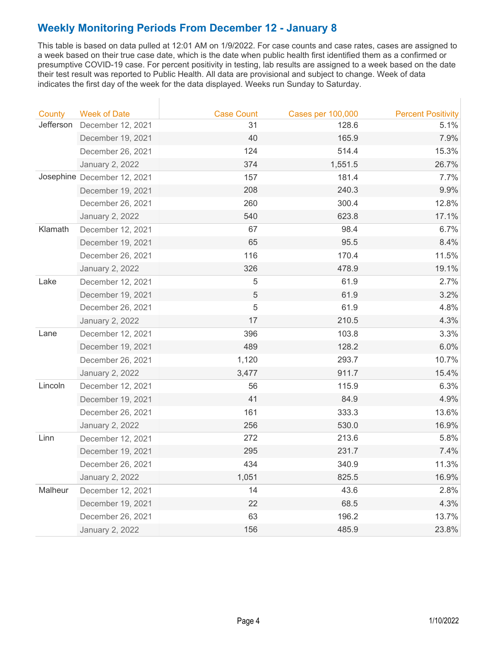This table is based on data pulled at 12:01 AM on 1/9/2022. For case counts and case rates, cases are assigned to a week based on their true case date, which is the date when public health first identified them as a confirmed or presumptive COVID-19 case. For percent positivity in testing, lab results are assigned to a week based on the date their test result was reported to Public Health. All data are provisional and subject to change. Week of data indicates the first day of the week for the data displayed. Weeks run Sunday to Saturday.

| County    | <b>Week of Date</b>         | <b>Case Count</b> | <b>Cases per 100,000</b> | <b>Percent Positivity</b> |
|-----------|-----------------------------|-------------------|--------------------------|---------------------------|
| Jefferson | December 12, 2021           | 31                | 128.6                    | 5.1%                      |
|           | December 19, 2021           | 40                | 165.9                    | 7.9%                      |
|           | December 26, 2021           | 124               | 514.4                    | 15.3%                     |
|           | <b>January 2, 2022</b>      | 374               | 1,551.5                  | 26.7%                     |
|           | Josephine December 12, 2021 | 157               | 181.4                    | 7.7%                      |
|           | December 19, 2021           | 208               | 240.3                    | 9.9%                      |
|           | December 26, 2021           | 260               | 300.4                    | 12.8%                     |
|           | January 2, 2022             | 540               | 623.8                    | 17.1%                     |
| Klamath   | December 12, 2021           | 67                | 98.4                     | 6.7%                      |
|           | December 19, 2021           | 65                | 95.5                     | 8.4%                      |
|           | December 26, 2021           | 116               | 170.4                    | 11.5%                     |
|           | January 2, 2022             | 326               | 478.9                    | 19.1%                     |
| Lake      | December 12, 2021           | $\sqrt{5}$        | 61.9                     | 2.7%                      |
|           | December 19, 2021           | 5                 | 61.9                     | 3.2%                      |
|           | December 26, 2021           | 5                 | 61.9                     | 4.8%                      |
|           | <b>January 2, 2022</b>      | 17                | 210.5                    | 4.3%                      |
| Lane      | December 12, 2021           | 396               | 103.8                    | 3.3%                      |
|           | December 19, 2021           | 489               | 128.2                    | 6.0%                      |
|           | December 26, 2021           | 1,120             | 293.7                    | 10.7%                     |
|           | <b>January 2, 2022</b>      | 3,477             | 911.7                    | 15.4%                     |
| Lincoln   | December 12, 2021           | 56                | 115.9                    | 6.3%                      |
|           | December 19, 2021           | 41                | 84.9                     | 4.9%                      |
|           | December 26, 2021           | 161               | 333.3                    | 13.6%                     |
|           | <b>January 2, 2022</b>      | 256               | 530.0                    | 16.9%                     |
| Linn      | December 12, 2021           | 272               | 213.6                    | 5.8%                      |
|           | December 19, 2021           | 295               | 231.7                    | 7.4%                      |
|           | December 26, 2021           | 434               | 340.9                    | 11.3%                     |
|           | <b>January 2, 2022</b>      | 1,051             | 825.5                    | 16.9%                     |
| Malheur   | December 12, 2021           | 14                | 43.6                     | 2.8%                      |
|           | December 19, 2021           | 22                | 68.5                     | 4.3%                      |
|           | December 26, 2021           | 63                | 196.2                    | 13.7%                     |
|           | January 2, 2022             | 156               | 485.9                    | 23.8%                     |

 $\mathbb T$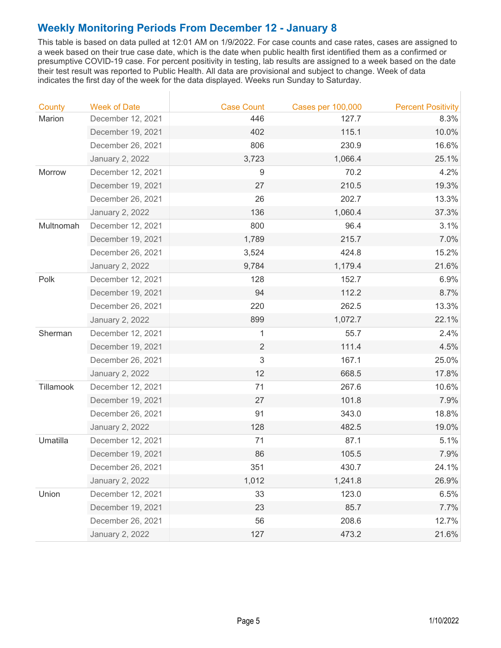This table is based on data pulled at 12:01 AM on 1/9/2022. For case counts and case rates, cases are assigned to a week based on their true case date, which is the date when public health first identified them as a confirmed or presumptive COVID-19 case. For percent positivity in testing, lab results are assigned to a week based on the date their test result was reported to Public Health. All data are provisional and subject to change. Week of data indicates the first day of the week for the data displayed. Weeks run Sunday to Saturday.

| Marion<br>446<br>127.7<br>December 12, 2021<br>8.3%<br>115.1<br>December 19, 2021<br>402<br>10.0%<br>806<br>230.9<br>December 26, 2021<br>16.6%<br><b>January 2, 2022</b><br>3,723<br>1,066.4<br>25.1%<br>9<br>70.2<br>4.2%<br>Morrow<br>December 12, 2021<br>27<br>210.5<br>December 19, 2021<br>19.3%<br>December 26, 2021<br>202.7<br>26<br>13.3%<br><b>January 2, 2022</b><br>136<br>1,060.4<br>37.3%<br>800<br>3.1%<br>Multnomah<br>December 12, 2021<br>96.4<br>1,789<br>215.7<br>7.0%<br>December 19, 2021<br>424.8<br>15.2%<br>December 26, 2021<br>3,524<br><b>January 2, 2022</b><br>21.6%<br>9,784<br>1,179.4<br>Polk<br>December 12, 2021<br>128<br>152.7<br>6.9%<br>112.2<br>December 19, 2021<br>94<br>8.7%<br>13.3%<br>December 26, 2021<br>220<br>262.5<br>899<br>22.1%<br>1,072.7<br><b>January 2, 2022</b><br>$\mathbf{1}$<br>Sherman<br>December 12, 2021<br>55.7<br>2.4%<br>$\overline{2}$<br>111.4<br>December 19, 2021<br>4.5%<br>3<br>25.0%<br>December 26, 2021<br>167.1<br><b>January 2, 2022</b><br>12<br>668.5<br>17.8%<br>Tillamook<br>71<br>267.6<br>10.6%<br>December 12, 2021<br>December 19, 2021<br>27<br>101.8<br>7.9%<br>December 26, 2021<br>91<br>343.0<br>18.8%<br><b>January 2, 2022</b><br>128<br>482.5<br>19.0%<br>Umatilla<br>December 12, 2021<br>71<br>87.1<br>5.1%<br>105.5<br>December 19, 2021<br>86<br>7.9%<br>351<br>430.7<br>24.1%<br>December 26, 2021<br><b>January 2, 2022</b><br>1,012<br>1,241.8<br>26.9%<br>Union<br>33<br>123.0<br>6.5%<br>December 12, 2021<br>December 19, 2021<br>23<br>85.7<br>7.7%<br>56<br>208.6<br>December 26, 2021<br>12.7%<br>127<br>21.6%<br><b>January 2, 2022</b><br>473.2 | County | <b>Week of Date</b> | <b>Case Count</b> | <b>Cases per 100,000</b> | <b>Percent Positivity</b> |
|------------------------------------------------------------------------------------------------------------------------------------------------------------------------------------------------------------------------------------------------------------------------------------------------------------------------------------------------------------------------------------------------------------------------------------------------------------------------------------------------------------------------------------------------------------------------------------------------------------------------------------------------------------------------------------------------------------------------------------------------------------------------------------------------------------------------------------------------------------------------------------------------------------------------------------------------------------------------------------------------------------------------------------------------------------------------------------------------------------------------------------------------------------------------------------------------------------------------------------------------------------------------------------------------------------------------------------------------------------------------------------------------------------------------------------------------------------------------------------------------------------------------------------------------------------------------------------------------------------------------------------------------------------------|--------|---------------------|-------------------|--------------------------|---------------------------|
|                                                                                                                                                                                                                                                                                                                                                                                                                                                                                                                                                                                                                                                                                                                                                                                                                                                                                                                                                                                                                                                                                                                                                                                                                                                                                                                                                                                                                                                                                                                                                                                                                                                                  |        |                     |                   |                          |                           |
|                                                                                                                                                                                                                                                                                                                                                                                                                                                                                                                                                                                                                                                                                                                                                                                                                                                                                                                                                                                                                                                                                                                                                                                                                                                                                                                                                                                                                                                                                                                                                                                                                                                                  |        |                     |                   |                          |                           |
|                                                                                                                                                                                                                                                                                                                                                                                                                                                                                                                                                                                                                                                                                                                                                                                                                                                                                                                                                                                                                                                                                                                                                                                                                                                                                                                                                                                                                                                                                                                                                                                                                                                                  |        |                     |                   |                          |                           |
|                                                                                                                                                                                                                                                                                                                                                                                                                                                                                                                                                                                                                                                                                                                                                                                                                                                                                                                                                                                                                                                                                                                                                                                                                                                                                                                                                                                                                                                                                                                                                                                                                                                                  |        |                     |                   |                          |                           |
|                                                                                                                                                                                                                                                                                                                                                                                                                                                                                                                                                                                                                                                                                                                                                                                                                                                                                                                                                                                                                                                                                                                                                                                                                                                                                                                                                                                                                                                                                                                                                                                                                                                                  |        |                     |                   |                          |                           |
|                                                                                                                                                                                                                                                                                                                                                                                                                                                                                                                                                                                                                                                                                                                                                                                                                                                                                                                                                                                                                                                                                                                                                                                                                                                                                                                                                                                                                                                                                                                                                                                                                                                                  |        |                     |                   |                          |                           |
|                                                                                                                                                                                                                                                                                                                                                                                                                                                                                                                                                                                                                                                                                                                                                                                                                                                                                                                                                                                                                                                                                                                                                                                                                                                                                                                                                                                                                                                                                                                                                                                                                                                                  |        |                     |                   |                          |                           |
|                                                                                                                                                                                                                                                                                                                                                                                                                                                                                                                                                                                                                                                                                                                                                                                                                                                                                                                                                                                                                                                                                                                                                                                                                                                                                                                                                                                                                                                                                                                                                                                                                                                                  |        |                     |                   |                          |                           |
|                                                                                                                                                                                                                                                                                                                                                                                                                                                                                                                                                                                                                                                                                                                                                                                                                                                                                                                                                                                                                                                                                                                                                                                                                                                                                                                                                                                                                                                                                                                                                                                                                                                                  |        |                     |                   |                          |                           |
|                                                                                                                                                                                                                                                                                                                                                                                                                                                                                                                                                                                                                                                                                                                                                                                                                                                                                                                                                                                                                                                                                                                                                                                                                                                                                                                                                                                                                                                                                                                                                                                                                                                                  |        |                     |                   |                          |                           |
|                                                                                                                                                                                                                                                                                                                                                                                                                                                                                                                                                                                                                                                                                                                                                                                                                                                                                                                                                                                                                                                                                                                                                                                                                                                                                                                                                                                                                                                                                                                                                                                                                                                                  |        |                     |                   |                          |                           |
|                                                                                                                                                                                                                                                                                                                                                                                                                                                                                                                                                                                                                                                                                                                                                                                                                                                                                                                                                                                                                                                                                                                                                                                                                                                                                                                                                                                                                                                                                                                                                                                                                                                                  |        |                     |                   |                          |                           |
|                                                                                                                                                                                                                                                                                                                                                                                                                                                                                                                                                                                                                                                                                                                                                                                                                                                                                                                                                                                                                                                                                                                                                                                                                                                                                                                                                                                                                                                                                                                                                                                                                                                                  |        |                     |                   |                          |                           |
|                                                                                                                                                                                                                                                                                                                                                                                                                                                                                                                                                                                                                                                                                                                                                                                                                                                                                                                                                                                                                                                                                                                                                                                                                                                                                                                                                                                                                                                                                                                                                                                                                                                                  |        |                     |                   |                          |                           |
|                                                                                                                                                                                                                                                                                                                                                                                                                                                                                                                                                                                                                                                                                                                                                                                                                                                                                                                                                                                                                                                                                                                                                                                                                                                                                                                                                                                                                                                                                                                                                                                                                                                                  |        |                     |                   |                          |                           |
|                                                                                                                                                                                                                                                                                                                                                                                                                                                                                                                                                                                                                                                                                                                                                                                                                                                                                                                                                                                                                                                                                                                                                                                                                                                                                                                                                                                                                                                                                                                                                                                                                                                                  |        |                     |                   |                          |                           |
|                                                                                                                                                                                                                                                                                                                                                                                                                                                                                                                                                                                                                                                                                                                                                                                                                                                                                                                                                                                                                                                                                                                                                                                                                                                                                                                                                                                                                                                                                                                                                                                                                                                                  |        |                     |                   |                          |                           |
|                                                                                                                                                                                                                                                                                                                                                                                                                                                                                                                                                                                                                                                                                                                                                                                                                                                                                                                                                                                                                                                                                                                                                                                                                                                                                                                                                                                                                                                                                                                                                                                                                                                                  |        |                     |                   |                          |                           |
|                                                                                                                                                                                                                                                                                                                                                                                                                                                                                                                                                                                                                                                                                                                                                                                                                                                                                                                                                                                                                                                                                                                                                                                                                                                                                                                                                                                                                                                                                                                                                                                                                                                                  |        |                     |                   |                          |                           |
|                                                                                                                                                                                                                                                                                                                                                                                                                                                                                                                                                                                                                                                                                                                                                                                                                                                                                                                                                                                                                                                                                                                                                                                                                                                                                                                                                                                                                                                                                                                                                                                                                                                                  |        |                     |                   |                          |                           |
|                                                                                                                                                                                                                                                                                                                                                                                                                                                                                                                                                                                                                                                                                                                                                                                                                                                                                                                                                                                                                                                                                                                                                                                                                                                                                                                                                                                                                                                                                                                                                                                                                                                                  |        |                     |                   |                          |                           |
|                                                                                                                                                                                                                                                                                                                                                                                                                                                                                                                                                                                                                                                                                                                                                                                                                                                                                                                                                                                                                                                                                                                                                                                                                                                                                                                                                                                                                                                                                                                                                                                                                                                                  |        |                     |                   |                          |                           |
|                                                                                                                                                                                                                                                                                                                                                                                                                                                                                                                                                                                                                                                                                                                                                                                                                                                                                                                                                                                                                                                                                                                                                                                                                                                                                                                                                                                                                                                                                                                                                                                                                                                                  |        |                     |                   |                          |                           |
|                                                                                                                                                                                                                                                                                                                                                                                                                                                                                                                                                                                                                                                                                                                                                                                                                                                                                                                                                                                                                                                                                                                                                                                                                                                                                                                                                                                                                                                                                                                                                                                                                                                                  |        |                     |                   |                          |                           |
|                                                                                                                                                                                                                                                                                                                                                                                                                                                                                                                                                                                                                                                                                                                                                                                                                                                                                                                                                                                                                                                                                                                                                                                                                                                                                                                                                                                                                                                                                                                                                                                                                                                                  |        |                     |                   |                          |                           |
|                                                                                                                                                                                                                                                                                                                                                                                                                                                                                                                                                                                                                                                                                                                                                                                                                                                                                                                                                                                                                                                                                                                                                                                                                                                                                                                                                                                                                                                                                                                                                                                                                                                                  |        |                     |                   |                          |                           |
|                                                                                                                                                                                                                                                                                                                                                                                                                                                                                                                                                                                                                                                                                                                                                                                                                                                                                                                                                                                                                                                                                                                                                                                                                                                                                                                                                                                                                                                                                                                                                                                                                                                                  |        |                     |                   |                          |                           |
|                                                                                                                                                                                                                                                                                                                                                                                                                                                                                                                                                                                                                                                                                                                                                                                                                                                                                                                                                                                                                                                                                                                                                                                                                                                                                                                                                                                                                                                                                                                                                                                                                                                                  |        |                     |                   |                          |                           |
|                                                                                                                                                                                                                                                                                                                                                                                                                                                                                                                                                                                                                                                                                                                                                                                                                                                                                                                                                                                                                                                                                                                                                                                                                                                                                                                                                                                                                                                                                                                                                                                                                                                                  |        |                     |                   |                          |                           |
|                                                                                                                                                                                                                                                                                                                                                                                                                                                                                                                                                                                                                                                                                                                                                                                                                                                                                                                                                                                                                                                                                                                                                                                                                                                                                                                                                                                                                                                                                                                                                                                                                                                                  |        |                     |                   |                          |                           |
|                                                                                                                                                                                                                                                                                                                                                                                                                                                                                                                                                                                                                                                                                                                                                                                                                                                                                                                                                                                                                                                                                                                                                                                                                                                                                                                                                                                                                                                                                                                                                                                                                                                                  |        |                     |                   |                          |                           |
|                                                                                                                                                                                                                                                                                                                                                                                                                                                                                                                                                                                                                                                                                                                                                                                                                                                                                                                                                                                                                                                                                                                                                                                                                                                                                                                                                                                                                                                                                                                                                                                                                                                                  |        |                     |                   |                          |                           |